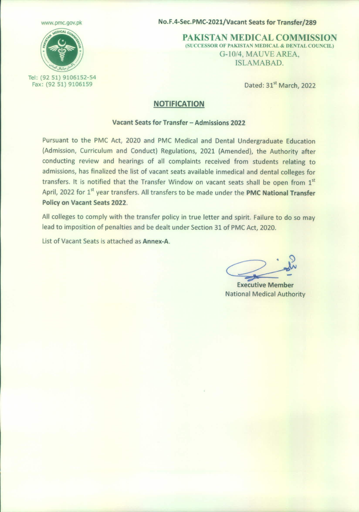

Tel: (92 51) 9106152-54 Fax: (92 51) 9106159

[www.pmc.gov.pk](http://www.pmc.gov.pk) **No.F.4-Sec.PMC-2021/Vacant Seats for Transfer/289** 

PAKISTAN MEDICAL COMMISSION (SUCCESSOR OF PAKISTAN MEDICAL & DENTAL COUNCIL) G-10/4, MAUVE AREA, ISLAMABAD.

Dated: 31" March, 2022

## NOTIFICATION

## Vacant Seats for Transfer - Admissions 2022

Pursuant to the PMC Act, 2020 and PMC Medical and Dental Undergraduate Education (Admission, Curriculum and Conduct) Regulations, 2021 (Amended), the Authority after conducting review and hearings of all complaints received from students relating to admissions, has finalized the list of vacant seats available inmedical and dental colleges for transfers. It is notified that the Transfer Window on vacant seats shall be open from 1st April, 2022 for 1<sup>st</sup> year transfers. All transfers to be made under the PMC National Transfer Policy on Vacant Seats 2022.

All colleges to comply with the transfer policy in true letter and spirit. Failure to do so may lead to imposition of penalties and be dealt under Section 31 of PMC Act, 2020.

list of Vacant Seats is attached as Annex-A.

~

Executive Member National Medical Authority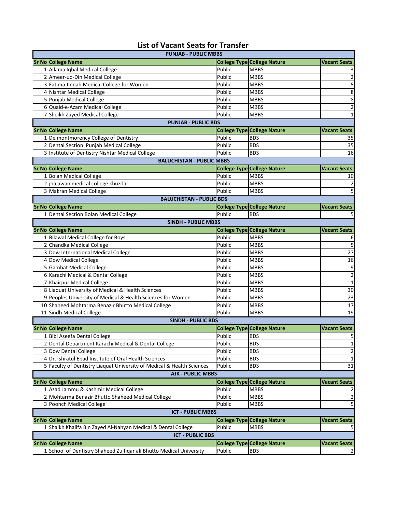## **List of Vacant Seats for Transfer**

| <b>PUNJAB - PUBLIC MBBS</b>                                                            |        |                                    |                         |  |  |  |  |
|----------------------------------------------------------------------------------------|--------|------------------------------------|-------------------------|--|--|--|--|
| <b>Sr No College Name</b>                                                              |        | <b>College Type College Nature</b> | <b>Vacant Seats</b>     |  |  |  |  |
| 1 Allama Iqbal Medical College                                                         | Public | <b>MBBS</b>                        |                         |  |  |  |  |
| 2 Ameer-ud-Din Medical College                                                         | Public | <b>MBBS</b>                        | $\overline{2}$          |  |  |  |  |
| 3 Fatima Jinnah Medical College for Women                                              | Public | <b>MBBS</b>                        | 5                       |  |  |  |  |
| 4 Nishtar Medical College                                                              | Public | <b>MBBS</b>                        | 8                       |  |  |  |  |
| 5 Punjab Medical College                                                               | Public | <b>MBBS</b>                        | 8                       |  |  |  |  |
| 6 Quaid-e-Azam Medical College                                                         | Public | <b>MBBS</b>                        | $\overline{c}$          |  |  |  |  |
| 7 Sheikh Zayed Medical College                                                         | Public | <b>MBBS</b>                        | 1                       |  |  |  |  |
| <b>PUNJAB - PUBLIC BDS</b>                                                             |        |                                    |                         |  |  |  |  |
| Sr No College Name                                                                     |        | <b>College Type College Nature</b> | <b>Vacant Seats</b>     |  |  |  |  |
| 1 De'montmorency College of Dentistry                                                  | Public | <b>BDS</b>                         | 35                      |  |  |  |  |
| 2 Dental Section Punjab Medical College                                                | Public | <b>BDS</b>                         | 35                      |  |  |  |  |
| 3 Institute of Dentistry Nishtar Medical College                                       | Public | <b>BDS</b>                         | 16                      |  |  |  |  |
| <b>BALUCHISTAN - PUBLIC MBBS</b>                                                       |        |                                    |                         |  |  |  |  |
| Sr No College Name                                                                     |        | <b>College Type College Nature</b> | <b>Vacant Seats</b>     |  |  |  |  |
| 1 Bolan Medical College                                                                | Public | <b>MBBS</b>                        | 10                      |  |  |  |  |
| 2 jhalawan medical college khuzdar                                                     | Public | <b>MBBS</b>                        | 2                       |  |  |  |  |
| 3 Makran Medical College                                                               | Public | <b>MBBS</b>                        | 5                       |  |  |  |  |
| <b>BALUCHISTAN - PUBLIC BDS</b>                                                        |        |                                    |                         |  |  |  |  |
| Sr No College Name                                                                     |        | <b>College Type College Nature</b> | <b>Vacant Seats</b>     |  |  |  |  |
| 1 Dental Section Bolan Medical College                                                 | Public | <b>BDS</b>                         | 5                       |  |  |  |  |
| <b>SINDH - PUBLIC MBBS</b>                                                             |        |                                    |                         |  |  |  |  |
| <b>Sr No College Name</b>                                                              |        | <b>College Type College Nature</b> | <b>Vacant Seats</b>     |  |  |  |  |
| 1 Bilawal Medical College for Boys                                                     | Public | <b>MBBS</b>                        | 6                       |  |  |  |  |
| 2 Chandka Medical College                                                              | Public | <b>MBBS</b>                        | 5                       |  |  |  |  |
| 3 Dow International Medical College                                                    | Public | <b>MBBS</b>                        | 27                      |  |  |  |  |
| 4 Dow Medical College                                                                  | Public | <b>MBBS</b>                        | 16                      |  |  |  |  |
| 5 Gambat Medical College                                                               | Public | <b>MBBS</b>                        | 9                       |  |  |  |  |
| 6 Karachi Medical & Dental College                                                     | Public | <b>MBBS</b>                        | $\overline{\mathbf{c}}$ |  |  |  |  |
| 7 Khairpur Medical College                                                             | Public | <b>MBBS</b>                        | $\mathbf 1$             |  |  |  |  |
| 8 Liaquat University of Medical & Health Sciences                                      | Public | <b>MBBS</b>                        | 30                      |  |  |  |  |
| 9 Peoples University of Medical & Health Sciences for Women                            | Public | <b>MBBS</b>                        | 23                      |  |  |  |  |
| 10 Shaheed Mohtarma Benazir Bhutto Medical College                                     | Public | <b>MBBS</b>                        | 17                      |  |  |  |  |
| 11 Sindh Medical College                                                               | Public | <b>MBBS</b>                        | 19                      |  |  |  |  |
| <b>SINDH - PUBLIC BDS</b>                                                              |        |                                    |                         |  |  |  |  |
| Sr No College Name                                                                     |        | <b>College Type College Nature</b> | <b>Vacant Seats</b>     |  |  |  |  |
| 1 Bibi Aseefa Dental College                                                           | Public | <b>BDS</b>                         | 5                       |  |  |  |  |
| 2 Dental Department Karachi Medical & Dental College                                   | Public | <b>BDS</b>                         | 1                       |  |  |  |  |
| 3 Dow Dental College                                                                   | Public | <b>BDS</b>                         | $\overline{c}$          |  |  |  |  |
| 4 Dr. Ishratul Ebad Institute of Oral Health Sciences                                  | Public | <b>BDS</b>                         | 1                       |  |  |  |  |
| 5 Faculty of Dentistry Liaquat University of Medical & Health Sciences                 | Public | <b>BDS</b>                         | 31                      |  |  |  |  |
| <b>AJK - PUBLIC MBBS</b>                                                               |        |                                    |                         |  |  |  |  |
| <b>Sr No College Name</b>                                                              |        | <b>College Type College Nature</b> | <b>Vacant Seats</b>     |  |  |  |  |
| 1 Azad Jammu & Kashmir Medical College                                                 | Public | <b>MBBS</b>                        |                         |  |  |  |  |
| 2 Mohtarma Benazir Bhutto Shaheed Medical College                                      | Public | <b>MBBS</b>                        | 2                       |  |  |  |  |
| 3 Poonch Medical College                                                               | Public | <b>MBBS</b>                        | 5                       |  |  |  |  |
| <b>ICT - PUBLIC MBBS</b>                                                               |        |                                    |                         |  |  |  |  |
| Sr No College Name                                                                     |        | <b>College Type College Nature</b> | <b>Vacant Seats</b>     |  |  |  |  |
| 1 Shaikh Khalifa Bin Zayed Al-Nahyan Medical & Dental College                          | Public | <b>MBBS</b>                        |                         |  |  |  |  |
| <b>ICT - PUBLIC BDS</b>                                                                |        |                                    |                         |  |  |  |  |
| <b>Sr No College Name</b><br><b>College Type College Nature</b><br><b>Vacant Seats</b> |        |                                    |                         |  |  |  |  |
| 1 School of Dentistry Shaheed Zulfiqar ali Bhutto Medical University                   | Public | <b>BDS</b>                         | 2                       |  |  |  |  |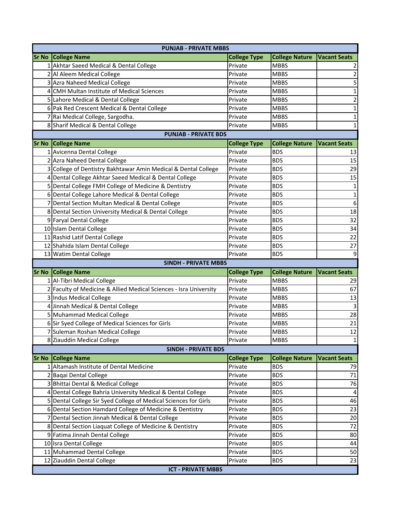|                             | <b>PUNJAB - PRIVATE MBBS</b>                                      |                     |                       |                         |  |  |  |  |
|-----------------------------|-------------------------------------------------------------------|---------------------|-----------------------|-------------------------|--|--|--|--|
|                             | <b>Sr No College Name</b>                                         | <b>College Type</b> | <b>College Nature</b> | <b>Vacant Seats</b>     |  |  |  |  |
|                             | 1 Akhtar Saeed Medical & Dental College                           | Private             | <b>MBBS</b>           |                         |  |  |  |  |
|                             | 2 Al Aleem Medical College                                        | Private             | <b>MBBS</b>           | 2                       |  |  |  |  |
|                             | 3 Azra Naheed Medical College                                     | Private             | <b>MBBS</b>           | 5                       |  |  |  |  |
| 4                           | CMH Multan Institute of Medical Sciences                          | Private             | <b>MBBS</b>           | 1                       |  |  |  |  |
|                             | 5 Lahore Medical & Dental College                                 | Private             | <b>MBBS</b>           | $\overline{\mathbf{c}}$ |  |  |  |  |
|                             | 6 Pak Red Crescent Medical & Dental College                       | Private             | <b>MBBS</b>           | 1                       |  |  |  |  |
|                             | 7 Rai Medical College, Sargodha.                                  | Private             | <b>MBBS</b>           | 1                       |  |  |  |  |
|                             | 8 Sharif Medical & Dental College                                 | Private             | <b>MBBS</b>           | 1                       |  |  |  |  |
| <b>PUNJAB - PRIVATE BDS</b> |                                                                   |                     |                       |                         |  |  |  |  |
| <b>Sr No</b>                | <b>College Name</b>                                               | <b>College Type</b> | <b>College Nature</b> | <b>Vacant Seats</b>     |  |  |  |  |
|                             | 1 Avicenna Dental College                                         | Private             | <b>BDS</b>            | 13                      |  |  |  |  |
|                             | Azra Naheed Dental College                                        | Private             | <b>BDS</b>            | 15                      |  |  |  |  |
|                             | College of Dentistry Bakhtawar Amin Medical & Dental College      | Private             | <b>BDS</b>            | 29                      |  |  |  |  |
| 4                           | Dental College Akhtar Saeed Medical & Dental College              | Private             | <b>BDS</b>            | 15                      |  |  |  |  |
|                             | 5 Dental College FMH College of Medicine & Dentistry              | Private             | <b>BDS</b>            | 1                       |  |  |  |  |
|                             | 6 Dental College Lahore Medical & Dental College                  | Private             | <b>BDS</b>            | $\mathbf{1}$            |  |  |  |  |
|                             | 7 Dental Section Multan Medical & Dental College                  | Private             | <b>BDS</b>            | $\boldsymbol{6}$        |  |  |  |  |
|                             | 8 Dental Section University Medical & Dental College              | Private             | <b>BDS</b>            | 18                      |  |  |  |  |
|                             | 9 Faryal Dental College                                           | Private             | <b>BDS</b>            | 32                      |  |  |  |  |
|                             | 10 Islam Dental College                                           | Private             | <b>BDS</b>            | 34                      |  |  |  |  |
|                             | 11 Rashid Latif Dental College                                    | Private             | <b>BDS</b>            | 22                      |  |  |  |  |
|                             | 12 Shahida Islam Dental College                                   | Private             | <b>BDS</b>            | 27                      |  |  |  |  |
|                             | 13 Watim Dental College                                           | Private             | <b>BDS</b>            | 9                       |  |  |  |  |
|                             |                                                                   |                     |                       |                         |  |  |  |  |
|                             | <b>SINDH - PRIVATE MBBS</b>                                       |                     |                       |                         |  |  |  |  |
| <b>Sr No</b>                | <b>College Name</b>                                               | <b>College Type</b> | <b>College Nature</b> | <b>Vacant Seats</b>     |  |  |  |  |
|                             | 1 Al-Tibri Medical College                                        | Private             | <b>MBBS</b>           | 29                      |  |  |  |  |
|                             | 2 Faculty of Medicine & Allied Medical Sciences - Isra University | Private             | <b>MBBS</b>           | 67                      |  |  |  |  |
|                             | 3 Indus Medical College                                           | Private             | <b>MBBS</b>           | 13                      |  |  |  |  |
|                             | 4 Jinnah Medical & Dental College                                 | Private             | <b>MBBS</b>           | $\overline{3}$          |  |  |  |  |
|                             | 5 Muhammad Medical College                                        | Private             | <b>MBBS</b>           | 28                      |  |  |  |  |
|                             | 6 Sir Syed College of Medical Sciences for Girls                  | Private             | <b>MBBS</b>           | 21                      |  |  |  |  |
|                             | 7 Suleman Roshan Medical College                                  | Private             | <b>MBBS</b>           | 12                      |  |  |  |  |
|                             | 8 Ziauddin Medical College                                        | Private             | <b>MBBS</b>           | 1                       |  |  |  |  |
|                             | <b>SINDH - PRIVATE BDS</b>                                        |                     |                       |                         |  |  |  |  |
| <b>Sr No</b>                | <b>College Name</b>                                               | <b>College Type</b> | <b>College Nature</b> | <b>Vacant Seats</b>     |  |  |  |  |
|                             | Altamash Institute of Dental Medicine                             | Private             | <b>BDS</b>            | 79                      |  |  |  |  |
|                             | 2 Baqai Dental College                                            | Private             | <b>BDS</b>            | 71                      |  |  |  |  |
|                             | 3 Bhittai Dental & Medical College                                | Private             | <b>BDS</b>            | 76                      |  |  |  |  |
|                             | 4 Dental College Bahria University Medical & Dental College       | Private             | <b>BDS</b>            | 4                       |  |  |  |  |
|                             | 5 Dental College Sir Syed College of Medical Sciences for Girls   | Private             | <b>BDS</b>            | 46                      |  |  |  |  |
|                             | 6 Dental Section Hamdard College of Medicine & Dentistry          | Private             | <b>BDS</b>            | 23                      |  |  |  |  |
|                             | Dental Section Jinnah Medical & Dental College                    | Private             | <b>BDS</b>            | 20                      |  |  |  |  |
|                             | 8 Dental Section Liaquat College of Medicine & Dentistry          | Private             | <b>BDS</b>            | 72                      |  |  |  |  |
|                             | 9 Fatima Jinnah Dental College                                    | Private             | <b>BDS</b>            | 80                      |  |  |  |  |
|                             | 10 Isra Dental College                                            | Private             | <b>BDS</b>            | 44                      |  |  |  |  |
|                             | 11 Muhammad Dental College                                        | Private             | <b>BDS</b>            | 50                      |  |  |  |  |
|                             | 12 Ziauddin Dental College                                        | Private             | <b>BDS</b>            | 23                      |  |  |  |  |